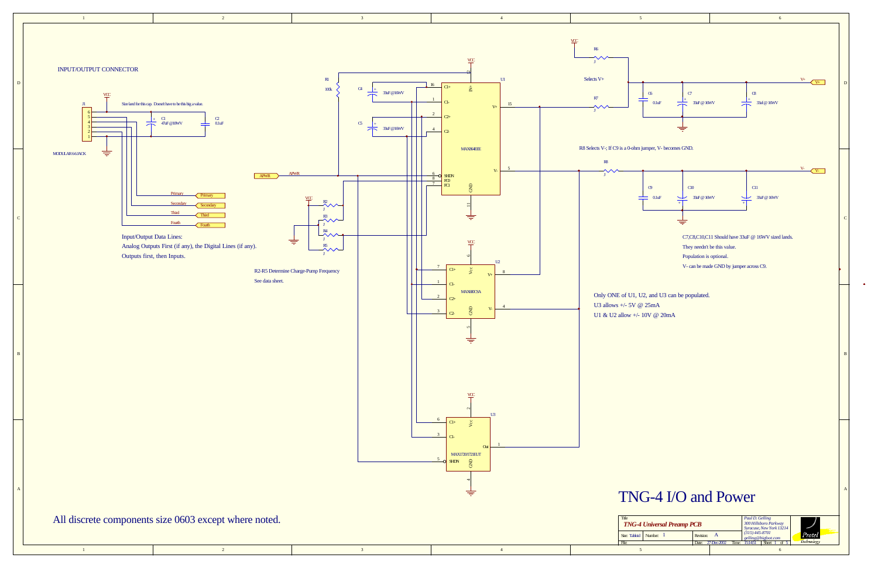

 $\bullet$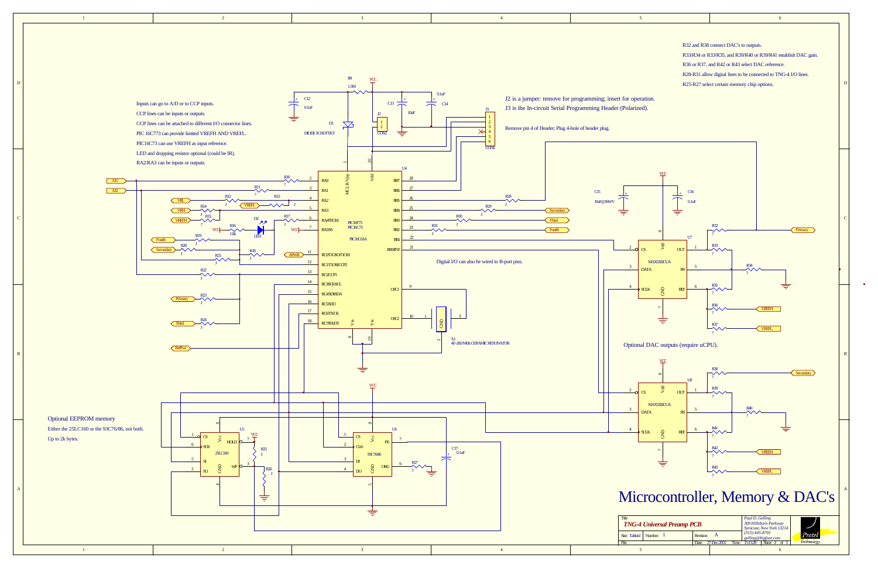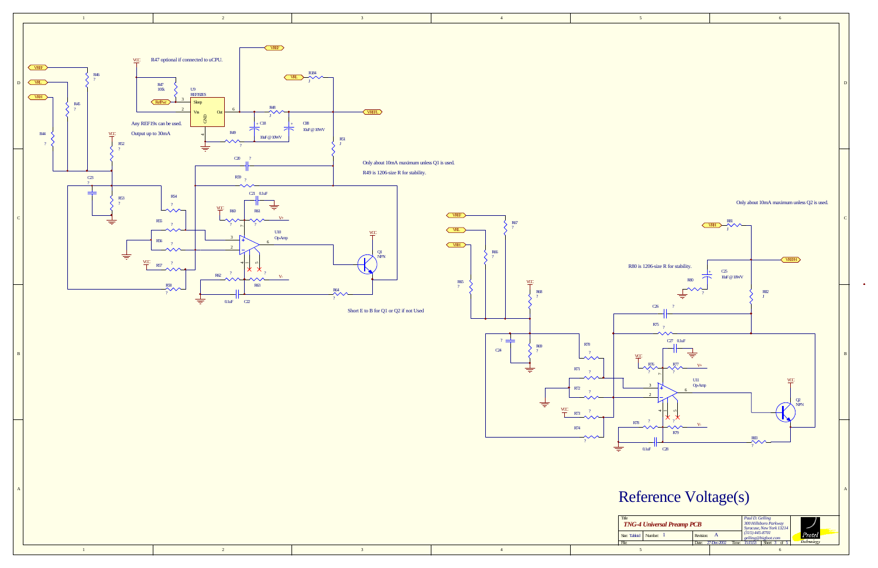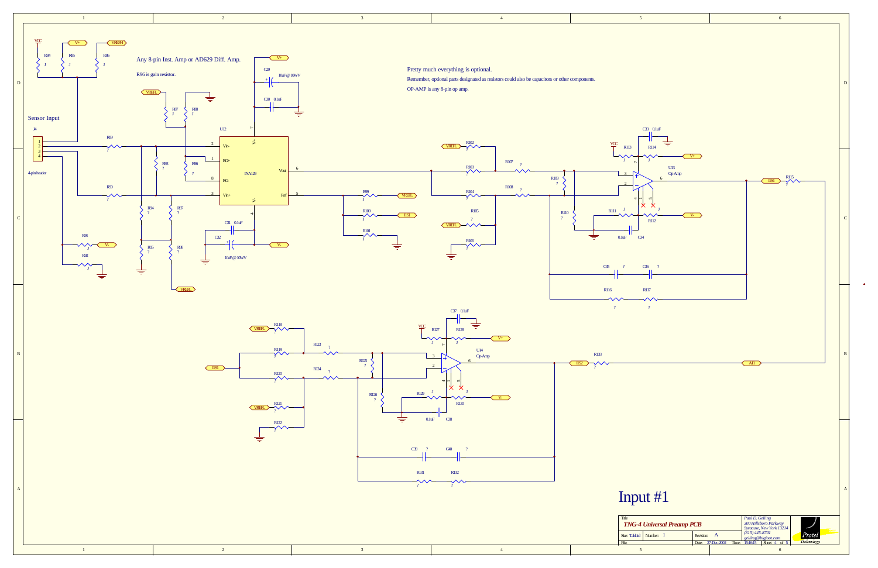

 $\bullet$